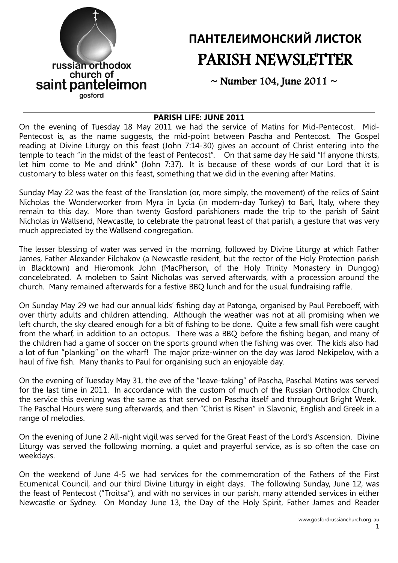

# **ПАНТЕЛЕИМОНСКИЙ ЛИСТОК** PARISH NEWSLETTER

 $\sim$  Number 104, June 2011  $\sim$ 

#### **PARISH LIFE: JUNE 2011**

On the evening of Tuesday 18 May 2011 we had the service of Matins for Mid-Pentecost. Mid-Pentecost is, as the name suggests, the mid-point between Pascha and Pentecost. The Gospel reading at Divine Liturgy on this feast (John 7:14-30) gives an account of Christ entering into the temple to teach "in the midst of the feast of Pentecost". On that same day He said "If anyone thirsts, let him come to Me and drink" (John 7:37). It is because of these words of our Lord that it is customary to bless water on this feast, something that we did in the evening after Matins.

Sunday May 22 was the feast of the Translation (or, more simply, the movement) of the relics of Saint Nicholas the Wonderworker from Myra in Lycia (in modern-day Turkey) to Bari, Italy, where they remain to this day. More than twenty Gosford parishioners made the trip to the parish of Saint Nicholas in Wallsend, Newcastle, to celebrate the patronal feast of that parish, a gesture that was very much appreciated by the Wallsend congregation.

The lesser blessing of water was served in the morning, followed by Divine Liturgy at which Father James, Father Alexander Filchakov (a Newcastle resident, but the rector of the Holy Protection parish in Blacktown) and Hieromonk John (MacPherson, of the Holy Trinity Monastery in Dungog) concelebrated. A moleben to Saint Nicholas was served afterwards, with a procession around the church. Many remained afterwards for a festive BBQ lunch and for the usual fundraising raffle.

On Sunday May 29 we had our annual kids' fishing day at Patonga, organised by Paul Pereboeff, with over thirty adults and children attending. Although the weather was not at all promising when we left church, the sky cleared enough for a bit of fishing to be done. Quite a few small fish were caught from the wharf, in addition to an octopus. There was a BBQ before the fishing began, and many of the children had a game of soccer on the sports ground when the fishing was over. The kids also had a lot of fun "planking" on the wharf! The major prize-winner on the day was Jarod Nekipelov, with a haul of five fish. Many thanks to Paul for organising such an enjoyable day.

On the evening of Tuesday May 31, the eve of the "leave-taking" of Pascha, Paschal Matins was served for the last time in 2011. In accordance with the custom of much of the Russian Orthodox Church, the service this evening was the same as that served on Pascha itself and throughout Bright Week. The Paschal Hours were sung afterwards, and then "Christ is Risen" in Slavonic, English and Greek in a range of melodies.

On the evening of June 2 All-night vigil was served for the Great Feast of the Lord's Ascension. Divine Liturgy was served the following morning, a quiet and prayerful service, as is so often the case on weekdays.

On the weekend of June 4-5 we had services for the commemoration of the Fathers of the First Ecumenical Council, and our third Divine Liturgy in eight days. The following Sunday, June 12, was the feast of Pentecost ("Troitsa"), and with no services in our parish, many attended services in either Newcastle or Sydney. On Monday June 13, the Day of the Holy Spirit, Father James and Reader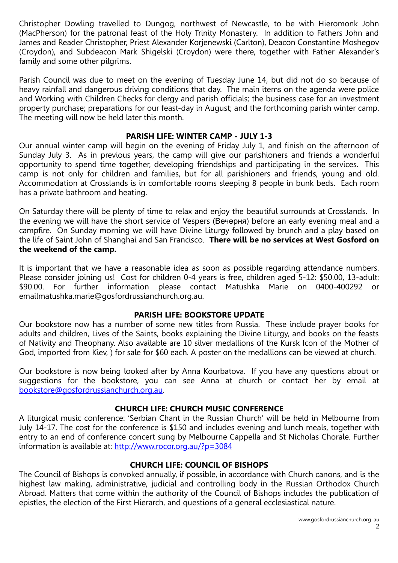Christopher Dowling travelled to Dungog, northwest of Newcastle, to be with Hieromonk John (MacPherson) for the patronal feast of the Holy Trinity Monastery. In addition to Fathers John and James and Reader Christopher, Priest Alexander Korjenewski (Carlton), Deacon Constantine Moshegov (Croydon), and Subdeacon Mark Shigelski (Croydon) were there, together with Father Alexander's family and some other pilgrims.

Parish Council was due to meet on the evening of Tuesday June 14, but did not do so because of heavy rainfall and dangerous driving conditions that day. The main items on the agenda were police and Working with Children Checks for clergy and parish officials; the business case for an investment property purchase; preparations for our feast-day in August; and the forthcoming parish winter camp. The meeting will now be held later this month.

#### **PARISH LIFE: WINTER CAMP - JULY 1-3**

Our annual winter camp will begin on the evening of Friday July 1, and finish on the afternoon of Sunday July 3. As in previous years, the camp will give our parishioners and friends a wonderful opportunity to spend time together, developing friendships and participating in the services. This camp is not only for children and families, but for all parishioners and friends, young and old. Accommodation at Crosslands is in comfortable rooms sleeping 8 people in bunk beds. Each room has a private bathroom and heating.

On Saturday there will be plenty of time to relax and enjoy the beautiful surrounds at Crosslands. In the evening we will have the short service of Vespers (Вечерня) before an early evening meal and a campfire. On Sunday morning we will have Divine Liturgy followed by brunch and a play based on the life of Saint John of Shanghai and San Francisco. **There will be no services at West Gosford on the weekend of the camp.**

It is important that we have a reasonable idea as soon as possible regarding attendance numbers. Please consider joining us! Cost for children 0-4 years is free, children aged 5-12: \$50.00, 13-adult: \$90.00. For further information please contact Matushka Marie on 0400-400292 or emailmatushka.marie@gosfordrussianchurch.org.au.

#### **PARISH LIFE: BOOKSTORE UPDATE**

Our bookstore now has a number of some new titles from Russia. These include prayer books for adults and children, Lives of the Saints, books explaining the Divine Liturgy, and books on the feasts of Nativity and Theophany. Also available are 10 silver medallions of the Kursk Icon of the Mother of God, imported from Kiev, ) for sale for \$60 each. A poster on the medallions can be viewed at church.

Our bookstore is now being looked after by Anna Kourbatova. If you have any questions about or suggestions for the bookstore, you can see Anna at church or contact her by email at [bookstore@gosfordrussianchurch.org.au.](mailto:bookstore@gosfordrussianchurch.org.au)

## **CHURCH LIFE: CHURCH MUSIC CONFERENCE**

A liturgical music conference: 'Serbian Chant in the Russian Church' will be held in Melbourne from July 14-17. The cost for the conference is \$150 and includes evening and lunch meals, together with entry to an end of conference concert sung by Melbourne Cappella and St Nicholas Chorale. Further information is available at:<http://www.rocor.org.au/?p=3084>

## **CHURCH LIFE: COUNCIL OF BISHOPS**

The Council of Bishops is convoked annually, if possible, in accordance with Church canons, and is the highest law making, administrative, judicial and controlling body in the Russian Orthodox Church Abroad. Matters that come within the authority of the Council of Bishops includes the publication of epistles, the election of the First Hierarch, and questions of a general ecclesiastical nature.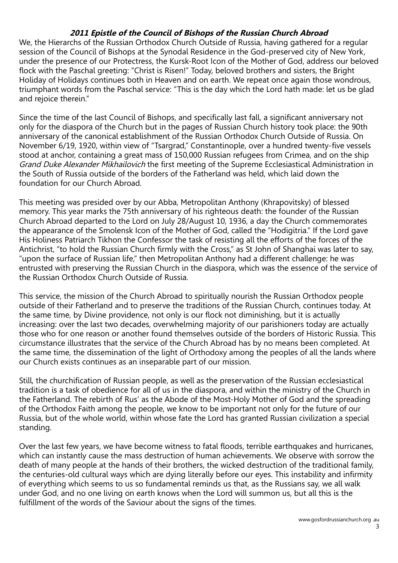## **2011 Epistle of the Council of Bishops of the Russian Church Abroad**

We, the Hierarchs of the Russian Orthodox Church Outside of Russia, having gathered for a regular session of the Council of Bishops at the Synodal Residence in the God-preserved city of New York, under the presence of our Protectress, the Kursk-Root Icon of the Mother of God, address our beloved flock with the Paschal greeting: "Christ is Risen!" Today, beloved brothers and sisters, the Bright Holiday of Holidays continues both in Heaven and on earth. We repeat once again those wondrous, triumphant words from the Paschal service: "This is the day which the Lord hath made: let us be glad and rejoice therein."

Since the time of the last Council of Bishops, and specifically last fall, a significant anniversary not only for the diaspora of the Church but in the pages of Russian Church history took place: the 90th anniversary of the canonical establishment of the Russian Orthodox Church Outside of Russia. On November 6/19, 1920, within view of "Tsargrad," Constantinople, over a hundred twenty-five vessels stood at anchor, containing a great mass of 150,000 Russian refugees from Crimea, and on the ship Grand Duke Alexander Mikhailovich the first meeting of the Supreme Ecclesiastical Administration in the South of Russia outside of the borders of the Fatherland was held, which laid down the foundation for our Church Abroad.

This meeting was presided over by our Abba, Metropolitan Anthony (Khrapovitsky) of blessed memory. This year marks the 75th anniversary of his righteous death: the founder of the Russian Church Abroad departed to the Lord on July 28/August 10, 1936, a day the Church commemorates the appearance of the Smolensk Icon of the Mother of God, called the "Hodigitria." If the Lord gave His Holiness Patriarch Tikhon the Confessor the task of resisting all the efforts of the forces of the Antichrist, "to hold the Russian Church firmly with the Cross," as St John of Shanghai was later to say, "upon the surface of Russian life," then Metropolitan Anthony had a different challenge: he was entrusted with preserving the Russian Church in the diaspora, which was the essence of the service of the Russian Orthodox Church Outside of Russia.

This service, the mission of the Church Abroad to spiritually nourish the Russian Orthodox people outside of their Fatherland and to preserve the traditions of the Russian Church, continues today. At the same time, by Divine providence, not only is our flock not diminishing, but it is actually increasing: over the last two decades, overwhelming majority of our parishioners today are actually those who for one reason or another found themselves outside of the borders of Historic Russia. This circumstance illustrates that the service of the Church Abroad has by no means been completed. At the same time, the dissemination of the light of Orthodoxy among the peoples of all the lands where our Church exists continues as an inseparable part of our mission.

Still, the churchification of Russian people, as well as the preservation of the Russian ecclesiastical tradition is a task of obedience for all of us in the diaspora, and within the ministry of the Church in the Fatherland. The rebirth of Rus' as the Abode of the Most-Holy Mother of God and the spreading of the Orthodox Faith among the people, we know to be important not only for the future of our Russia, but of the whole world, within whose fate the Lord has granted Russian civilization a special standing.

Over the last few years, we have become witness to fatal floods, terrible earthquakes and hurricanes, which can instantly cause the mass destruction of human achievements. We observe with sorrow the death of many people at the hands of their brothers, the wicked destruction of the traditional family, the centuries-old cultural ways which are dying literally before our eyes. This instability and infirmity of everything which seems to us so fundamental reminds us that, as the Russians say, we all walk under God, and no one living on earth knows when the Lord will summon us, but all this is the fulfillment of the words of the Saviour about the signs of the times.